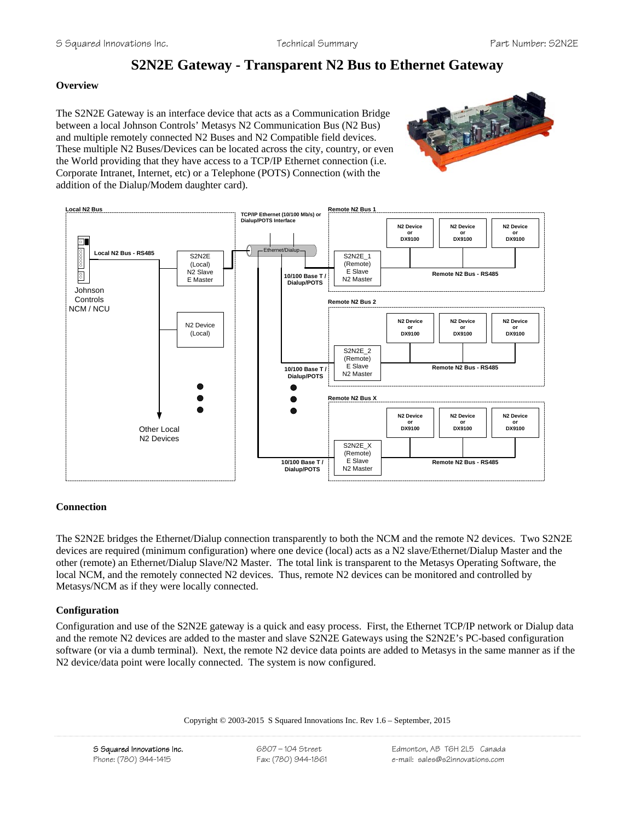# **S2N2E Gateway - Transparent N2 Bus to Ethernet Gateway**

# **Overview**

The S2N2E Gateway is an interface device that acts as a Communication Bridge between a local Johnson Controls' Metasys N2 Communication Bus (N2 Bus) and multiple remotely connected N2 Buses and N2 Compatible field devices. These multiple N2 Buses/Devices can be located across the city, country, or even the World providing that they have access to a TCP/IP Ethernet connection (i.e. Corporate Intranet, Internet, etc) or a Telephone (POTS) Connection (with the addition of the Dialup/Modem daughter card).





# **Connection**

The S2N2E bridges the Ethernet/Dialup connection transparently to both the NCM and the remote N2 devices. Two S2N2E devices are required (minimum configuration) where one device (local) acts as a N2 slave/Ethernet/Dialup Master and the other (remote) an Ethernet/Dialup Slave/N2 Master. The total link is transparent to the Metasys Operating Software, the local NCM, and the remotely connected N2 devices. Thus, remote N2 devices can be monitored and controlled by Metasys/NCM as if they were locally connected.

# **Configuration**

Configuration and use of the S2N2E gateway is a quick and easy process. First, the Ethernet TCP/IP network or Dialup data and the remote N2 devices are added to the master and slave S2N2E Gateways using the S2N2E's PC-based configuration software (or via a dumb terminal). Next, the remote N2 device data points are added to Metasys in the same manner as if the N2 device/data point were locally connected. The system is now configured.

Copyright © 2003-2015 S Squared Innovations Inc. Rev 1.6 – September, 2015